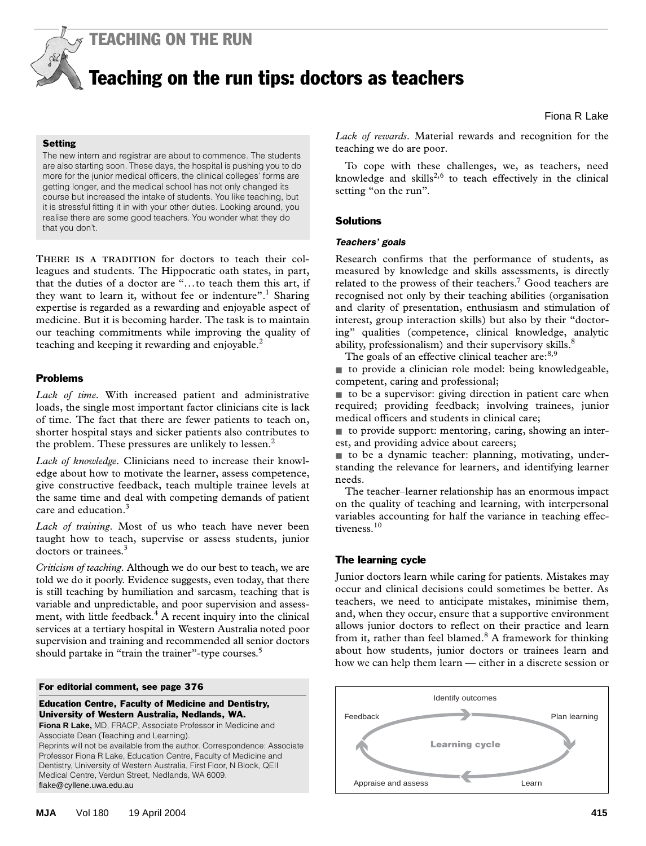

# Teaching on the run tips: doctors as teachers

Fiona R Lake

# **Setting**

The new intern and registrar are about to commence. The students are also starting soon. These days, the hospital is pushing you to do more for the junior medical officers, the clinical colleges' forms are getting longer, and the medical school has not only changed its course but increased the intake of students. You like teaching, but it is stressful fitting it in with your other duties. Looking around, you realise there are some good teachers. You wonder what they do that you don't.

leagues and students. The Hippocratic oath states, in part, that the duties of a doctor are "...to teach them this art, if they want to learn it, without fee or indenture".<sup>1</sup> Sharing expertise is regarded as a rewarding and enjoyable aspect of **THERE IS A TRADITION** for doctors to teach their colmedicine. But it is becoming harder. The task is to maintain our teaching commitments while improving the quality of teaching and keeping it rewarding and enjoyable.<sup>2</sup>

# Problems

*Lack of time.* With increased patient and administrative loads, the single most important factor clinicians cite is lack of time. The fact that there are fewer patients to teach on, shorter hospital stays and sicker patients also contributes to the problem. These pressures are unlikely to lessen.<sup>2</sup>

*Lack of knowledge.* Clinicians need to increase their knowledge about how to motivate the learner, assess competence, give constructive feedback, teach multiple trainee levels at the same time and deal with competing demands of patient care and education.<sup>3</sup>

*Lack of training*. Most of us who teach have never been taught how to teach, supervise or assess students, junior doctors or trainees.<sup>3</sup>

*Criticism of teaching*. Although we do our best to teach, we are told we do it poorly. Evidence suggests, even today, that there is still teaching by humiliation and sarcasm, teaching that is variable and unpredictable, and poor supervision and assessment, with little feedback.<sup>4</sup> A recent inquiry into the clinical services at a tertiary hospital in Western Australia noted poor supervision and training and recommended all senior doctors should partake in "train the trainer"-type courses.<sup>5</sup>

#### For editorial comment, see page 376

Education Centre, Faculty of Medicine and Dentistry, University of Western Australia, Nedlands, WA.

**Fiona R Lake,** MD, FRACP, Associate Professor in Medicine and Associate Dean (Teaching and Learning). Reprints will not be available from the author. Correspondence: Associate Professor Fiona R Lake, Education Centre, Faculty of Medicine and Dentistry, University of Western Australia, First Floor, N Block, QEII Medical Centre, Verdun Street, Nedlands, WA 6009. flake@cyllene.uwa.edu.au

*Lack of rewards*. Material rewards and recognition for the teaching we do are poor.

To cope with these challenges, we, as teachers, need knowledge and skills<sup>2,6</sup> to teach effectively in the clinical setting "on the run"*.*

## **Solutions**

#### *Teachers' goals*

Research confirms that the performance of students, as measured by knowledge and skills assessments, is directly related to the prowess of their teachers.<sup>7</sup> Good teachers are recognised not only by their teaching abilities (organisation and clarity of presentation, enthusiasm and stimulation of interest, group interaction skills) but also by their "doctoring" qualities (competence, clinical knowledge, analytic ability, professionalism) and their supervisory skills. $\frac{8}{3}$ 

The goals of an effective clinical teacher are:<sup>8,9</sup>

■ to provide a clinician role model: being knowledgeable, competent, caring and professional;

■ to be a supervisor: giving direction in patient care when required; providing feedback; involving trainees, junior medical officers and students in clinical care;

■ to provide support: mentoring, caring, showing an interest, and providing advice about careers;

■ to be a dynamic teacher: planning, motivating, understanding the relevance for learners, and identifying learner needs.

The teacher–learner relationship has an enormous impact on the quality of teaching and learning, with interpersonal variables accounting for half the variance in teaching effectiveness.<sup>10</sup>

# The learning cycle

Junior doctors learn while caring for patients. Mistakes may occur and clinical decisions could sometimes be better. As teachers, we need to anticipate mistakes, minimise them, and, when they occur, ensure that a supportive environment allows junior doctors to reflect on their practice and learn from it, rather than feel blamed.<sup>8</sup> A framework for thinking about how students, junior doctors or trainees learn and how we can help them learn — either in a discrete session or